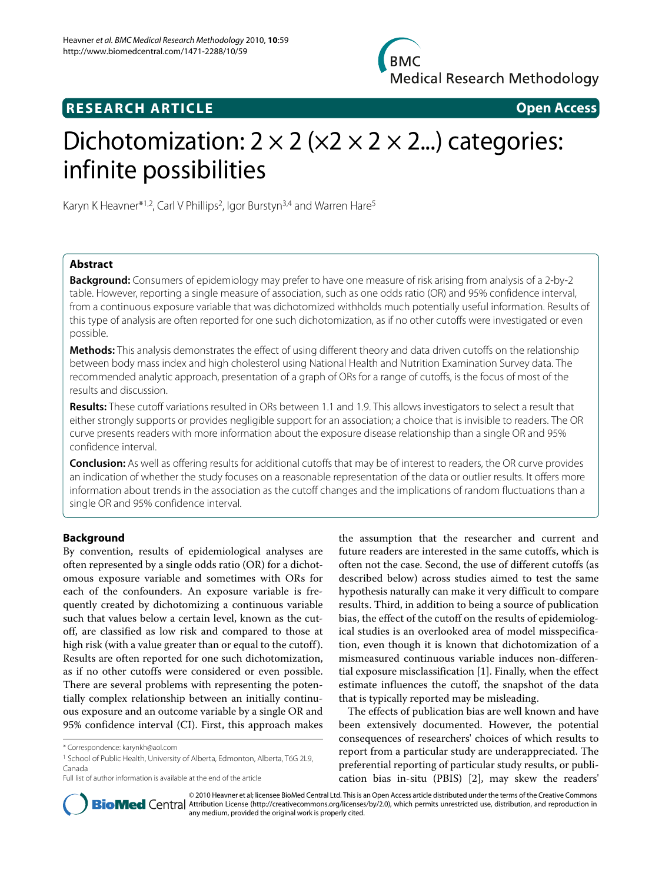

## **RESEARCH ARTICLE Open Access**

# Dichotomization:  $2 \times 2$  ( $\times 2 \times 2 \times 2$ ...) categories: infinite possibilities

Karyn K Heavner<sup>\*1,2</sup>, Carl V Phillips<sup>2</sup>, Igor Burstyn<sup>3,4</sup> and Warren Hare<sup>5</sup>

## **Abstract**

**Background:** Consumers of epidemiology may prefer to have one measure of risk arising from analysis of a 2-by-2 table. However, reporting a single measure of association, such as one odds ratio (OR) and 95% confidence interval, from a continuous exposure variable that was dichotomized withholds much potentially useful information. Results of this type of analysis are often reported for one such dichotomization, as if no other cutoffs were investigated or even possible.

**Methods:** This analysis demonstrates the effect of using different theory and data driven cutoffs on the relationship between body mass index and high cholesterol using National Health and Nutrition Examination Survey data. The recommended analytic approach, presentation of a graph of ORs for a range of cutoffs, is the focus of most of the results and discussion.

**Results:** These cutoff variations resulted in ORs between 1.1 and 1.9. This allows investigators to select a result that either strongly supports or provides negligible support for an association; a choice that is invisible to readers. The OR curve presents readers with more information about the exposure disease relationship than a single OR and 95% confidence interval.

**Conclusion:** As well as offering results for additional cutoffs that may be of interest to readers, the OR curve provides an indication of whether the study focuses on a reasonable representation of the data or outlier results. It offers more information about trends in the association as the cutoff changes and the implications of random fluctuations than a single OR and 95% confidence interval.

## **Background**

By convention, results of epidemiological analyses are often represented by a single odds ratio (OR) for a dichotomous exposure variable and sometimes with ORs for each of the confounders. An exposure variable is frequently created by dichotomizing a continuous variable such that values below a certain level, known as the cutoff, are classified as low risk and compared to those at high risk (with a value greater than or equal to the cutoff). Results are often reported for one such dichotomization, as if no other cutoffs were considered or even possible. There are several problems with representing the potentially complex relationship between an initially continuous exposure and an outcome variable by a single OR and 95% confidence interval (CI). First, this approach makes

the assumption that the researcher and current and future readers are interested in the same cutoffs, which is often not the case. Second, the use of different cutoffs (as described below) across studies aimed to test the same hypothesis naturally can make it very difficult to compare results. Third, in addition to being a source of publication bias, the effect of the cutoff on the results of epidemiological studies is an overlooked area of model misspecification, even though it is known that dichotomization of a mismeasured continuous variable induces non-differential exposure misclassification [\[1](#page-9-0)]. Finally, when the effect estimate influences the cutoff, the snapshot of the data that is typically reported may be misleading.

The effects of publication bias are well known and have been extensively documented. However, the potential consequences of researchers' choices of which results to report from a particular study are underappreciated. The preferential reporting of particular study results, or publication bias in-situ (PBIS) [\[2](#page-9-1)], may skew the readers'



© 2010 Heavner et al; licensee BioMed Central Ltd. This is an Open Access article distributed under the terms of the Creative Commons **Bio Med Centra** Attribution License (http://creativecommons.org/licenses/by/2.0), which permits unrestricted use, distribution, and reproduction in any medium, provided the original work is properly cited.

<sup>\*</sup> Correspondence: karynkh@aol.com

<sup>1</sup> School of Public Health, University of Alberta, Edmonton, Alberta, T6G 2L9, Canada

Full list of author information is available at the end of the article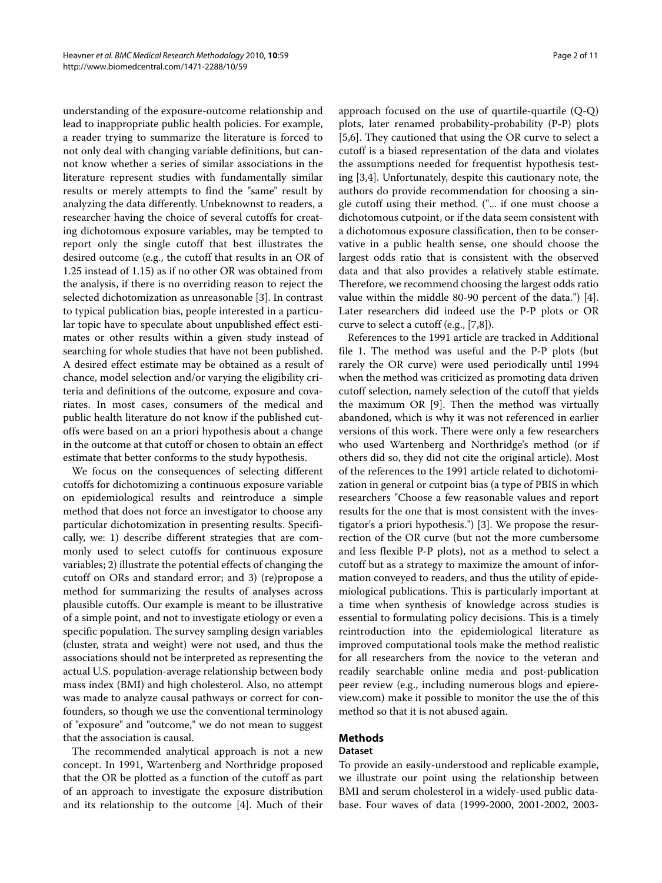understanding of the exposure-outcome relationship and lead to inappropriate public health policies. For example, a reader trying to summarize the literature is forced to not only deal with changing variable definitions, but cannot know whether a series of similar associations in the literature represent studies with fundamentally similar results or merely attempts to find the "same" result by analyzing the data differently. Unbeknownst to readers, a researcher having the choice of several cutoffs for creating dichotomous exposure variables, may be tempted to report only the single cutoff that best illustrates the desired outcome (e.g., the cutoff that results in an OR of 1.25 instead of 1.15) as if no other OR was obtained from the analysis, if there is no overriding reason to reject the selected dichotomization as unreasonable [[3\]](#page-9-2). In contrast to typical publication bias, people interested in a particular topic have to speculate about unpublished effect estimates or other results within a given study instead of searching for whole studies that have not been published. A desired effect estimate may be obtained as a result of chance, model selection and/or varying the eligibility criteria and definitions of the outcome, exposure and covariates. In most cases, consumers of the medical and public health literature do not know if the published cutoffs were based on an a priori hypothesis about a change in the outcome at that cutoff or chosen to obtain an effect estimate that better conforms to the study hypothesis.

We focus on the consequences of selecting different cutoffs for dichotomizing a continuous exposure variable on epidemiological results and reintroduce a simple method that does not force an investigator to choose any particular dichotomization in presenting results. Specifically, we: 1) describe different strategies that are commonly used to select cutoffs for continuous exposure variables; 2) illustrate the potential effects of changing the cutoff on ORs and standard error; and 3) (re)propose a method for summarizing the results of analyses across plausible cutoffs. Our example is meant to be illustrative of a simple point, and not to investigate etiology or even a specific population. The survey sampling design variables (cluster, strata and weight) were not used, and thus the associations should not be interpreted as representing the actual U.S. population-average relationship between body mass index (BMI) and high cholesterol. Also, no attempt was made to analyze causal pathways or correct for confounders, so though we use the conventional terminology of "exposure" and "outcome," we do not mean to suggest that the association is causal.

The recommended analytical approach is not a new concept. In 1991, Wartenberg and Northridge proposed that the OR be plotted as a function of the cutoff as part of an approach to investigate the exposure distribution and its relationship to the outcome [[4\]](#page-9-3). Much of their

approach focused on the use of quartile-quartile (Q-Q) plots, later renamed probability-probability (P-P) plots [[5,](#page-9-4)[6\]](#page-9-5). They cautioned that using the OR curve to select a cutoff is a biased representation of the data and violates the assumptions needed for frequentist hypothesis testing [[3](#page-9-2),[4\]](#page-9-3). Unfortunately, despite this cautionary note, the authors do provide recommendation for choosing a single cutoff using their method. ("... if one must choose a dichotomous cutpoint, or if the data seem consistent with a dichotomous exposure classification, then to be conservative in a public health sense, one should choose the largest odds ratio that is consistent with the observed data and that also provides a relatively stable estimate. Therefore, we recommend choosing the largest odds ratio value within the middle 80-90 percent of the data.") [\[4](#page-9-3)]. Later researchers did indeed use the P-P plots or OR curve to select a cutoff (e.g., [[7,](#page-9-6)[8\]](#page-9-7)).

References to the 1991 article are tracked in Additional file [1.](#page-9-8) The method was useful and the P-P plots (but rarely the OR curve) were used periodically until 1994 when the method was criticized as promoting data driven cutoff selection, namely selection of the cutoff that yields the maximum OR [\[9](#page-9-9)]. Then the method was virtually abandoned, which is why it was not referenced in earlier versions of this work. There were only a few researchers who used Wartenberg and Northridge's method (or if others did so, they did not cite the original article). Most of the references to the 1991 article related to dichotomization in general or cutpoint bias (a type of PBIS in which researchers "Choose a few reasonable values and report results for the one that is most consistent with the investigator's a priori hypothesis.") [[3\]](#page-9-2). We propose the resurrection of the OR curve (but not the more cumbersome and less flexible P-P plots), not as a method to select a cutoff but as a strategy to maximize the amount of information conveyed to readers, and thus the utility of epidemiological publications. This is particularly important at a time when synthesis of knowledge across studies is essential to formulating policy decisions. This is a timely reintroduction into the epidemiological literature as improved computational tools make the method realistic for all researchers from the novice to the veteran and readily searchable online media and post-publication peer review (e.g., including numerous blogs and epiereview.com) make it possible to monitor the use the of this method so that it is not abused again.

## **Methods**

## **Dataset**

To provide an easily-understood and replicable example, we illustrate our point using the relationship between BMI and serum cholesterol in a widely-used public database. Four waves of data (1999-2000, 2001-2002, 2003-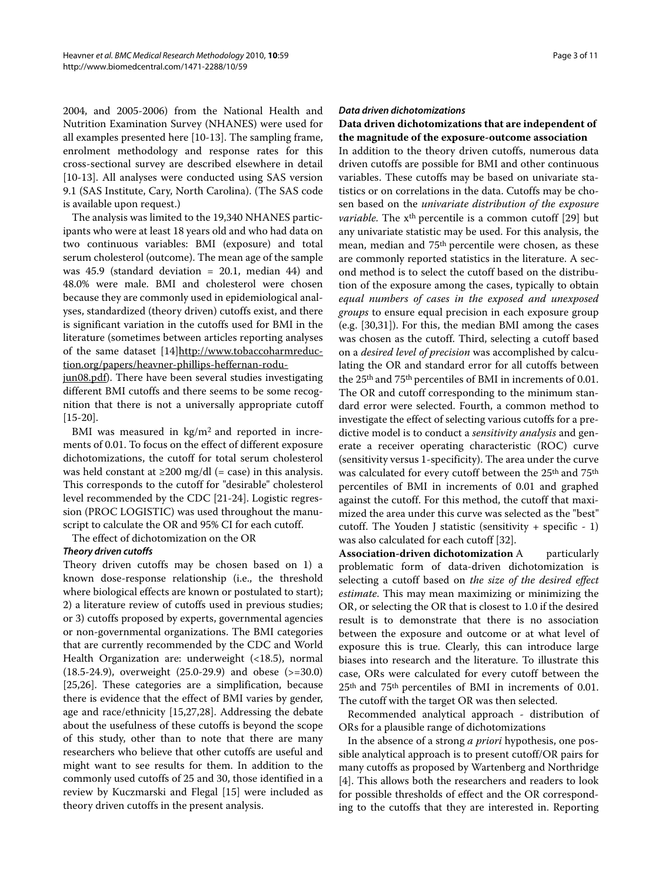2004, and 2005-2006) from the National Health and Nutrition Examination Survey (NHANES) were used for all examples presented here [\[10-](#page-9-10)[13](#page-9-11)]. The sampling frame, enrolment methodology and response rates for this cross-sectional survey are described elsewhere in detail [[10-](#page-9-10)[13](#page-9-11)]. All analyses were conducted using SAS version 9.1 (SAS Institute, Cary, North Carolina). (The SAS code is available upon request.)

The analysis was limited to the 19,340 NHANES participants who were at least 18 years old and who had data on two continuous variables: BMI (exposure) and total serum cholesterol (outcome). The mean age of the sample was 45.9 (standard deviation = 20.1, median 44) and 48.0% were male. BMI and cholesterol were chosen because they are commonly used in epidemiological analyses, standardized (theory driven) cutoffs exist, and there is significant variation in the cutoffs used for BMI in the literature (sometimes between articles reporting analyses of the same dataset [[14\]](#page-9-12)[http://www.tobaccoharmreduc](http://www.tobaccoharmreduction.org/papers/heavner-phillips-heffernan-rodu-jun08.pdf)[tion.org/papers/heavner-phillips-heffernan-rodu-](http://www.tobaccoharmreduction.org/papers/heavner-phillips-heffernan-rodu-jun08.pdf)

[jun08.pdf\)](http://www.tobaccoharmreduction.org/papers/heavner-phillips-heffernan-rodu-jun08.pdf). There have been several studies investigating different BMI cutoffs and there seems to be some recognition that there is not a universally appropriate cutoff [[15-](#page-9-13)[20](#page-9-14)].

BMI was measured in  $\text{kg/m}^2$  and reported in increments of 0.01. To focus on the effect of different exposure dichotomizations, the cutoff for total serum cholesterol was held constant at  $\geq 200$  mg/dl (= case) in this analysis. This corresponds to the cutoff for "desirable" cholesterol level recommended by the CDC [\[21](#page-9-15)-[24\]](#page-10-0). Logistic regression (PROC LOGISTIC) was used throughout the manuscript to calculate the OR and 95% CI for each cutoff.

The effect of dichotomization on the OR

## **Theory driven cutoffs**

Theory driven cutoffs may be chosen based on 1) a known dose-response relationship (i.e., the threshold where biological effects are known or postulated to start); 2) a literature review of cutoffs used in previous studies; or 3) cutoffs proposed by experts, governmental agencies or non-governmental organizations. The BMI categories that are currently recommended by the CDC and World Health Organization are: underweight (<18.5), normal (18.5-24.9), overweight (25.0-29.9) and obese (>=30.0) [[25,](#page-10-1)[26\]](#page-10-2). These categories are a simplification, because there is evidence that the effect of BMI varies by gender, age and race/ethnicity [\[15](#page-9-13)[,27](#page-10-3)[,28](#page-10-4)]. Addressing the debate about the usefulness of these cutoffs is beyond the scope of this study, other than to note that there are many researchers who believe that other cutoffs are useful and might want to see results for them. In addition to the commonly used cutoffs of 25 and 30, those identified in a review by Kuczmarski and Flegal [[15\]](#page-9-13) were included as theory driven cutoffs in the present analysis.

#### **Data driven dichotomizations**

## **Data driven dichotomizations that are independent of the magnitude of the exposure-outcome association**

In addition to the theory driven cutoffs, numerous data driven cutoffs are possible for BMI and other continuous variables. These cutoffs may be based on univariate statistics or on correlations in the data. Cutoffs may be chosen based on the *univariate distribution of the exposure variable*. The x<sup>th</sup> percentile is a common cutoff [\[29](#page-10-5)] but any univariate statistic may be used. For this analysis, the mean, median and 75th percentile were chosen, as these are commonly reported statistics in the literature. A second method is to select the cutoff based on the distribution of the exposure among the cases, typically to obtain *equal numbers of cases in the exposed and unexposed groups* to ensure equal precision in each exposure group (e.g. [[30,](#page-10-6)[31\]](#page-10-7)). For this, the median BMI among the cases was chosen as the cutoff. Third, selecting a cutoff based on a *desired level of precision* was accomplished by calculating the OR and standard error for all cutoffs between the 25th and 75th percentiles of BMI in increments of 0.01. The OR and cutoff corresponding to the minimum standard error were selected. Fourth, a common method to investigate the effect of selecting various cutoffs for a predictive model is to conduct a *sensitivity analysis* and generate a receiver operating characteristic (ROC) curve (sensitivity versus 1-specificity). The area under the curve was calculated for every cutoff between the 25<sup>th</sup> and 75<sup>th</sup> percentiles of BMI in increments of 0.01 and graphed against the cutoff. For this method, the cutoff that maximized the area under this curve was selected as the "best" cutoff. The Youden J statistic (sensitivity + specific - 1) was also calculated for each cutoff [\[32](#page-10-8)].

**Association-driven dichotomization** A particularly problematic form of data-driven dichotomization is selecting a cutoff based on *the size of the desired effect estimate*. This may mean maximizing or minimizing the OR, or selecting the OR that is closest to 1.0 if the desired result is to demonstrate that there is no association between the exposure and outcome or at what level of exposure this is true. Clearly, this can introduce large biases into research and the literature. To illustrate this case, ORs were calculated for every cutoff between the 25th and 75th percentiles of BMI in increments of 0.01. The cutoff with the target OR was then selected.

Recommended analytical approach - distribution of ORs for a plausible range of dichotomizations

In the absence of a strong *a priori* hypothesis, one possible analytical approach is to present cutoff/OR pairs for many cutoffs as proposed by Wartenberg and Northridge [[4\]](#page-9-3). This allows both the researchers and readers to look for possible thresholds of effect and the OR corresponding to the cutoffs that they are interested in. Reporting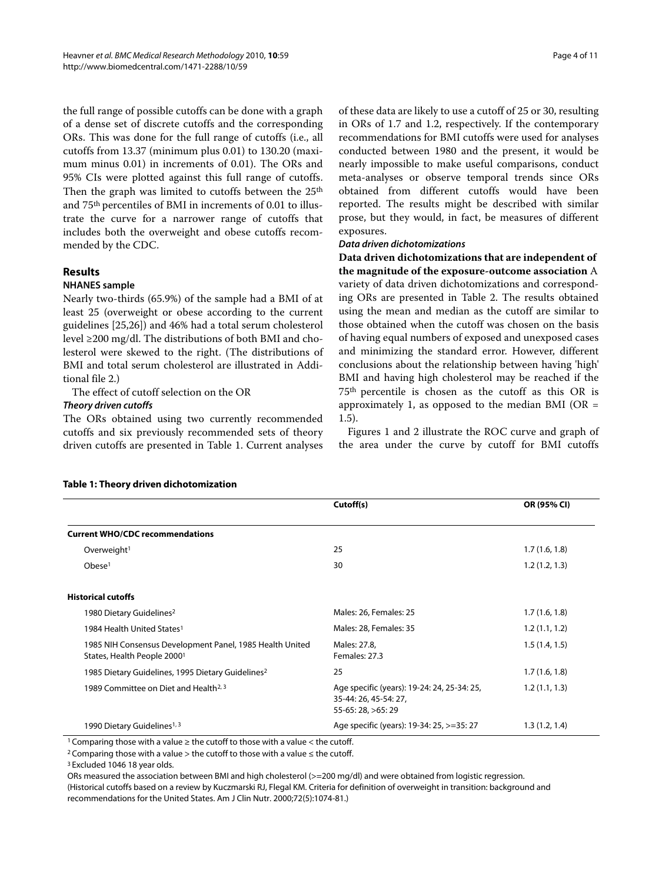the full range of possible cutoffs can be done with a graph of a dense set of discrete cutoffs and the corresponding ORs. This was done for the full range of cutoffs (i.e., all cutoffs from 13.37 (minimum plus 0.01) to 130.20 (maximum minus 0.01) in increments of 0.01). The ORs and 95% CIs were plotted against this full range of cutoffs. Then the graph was limited to cutoffs between the 25<sup>th</sup> and 75th percentiles of BMI in increments of 0.01 to illustrate the curve for a narrower range of cutoffs that includes both the overweight and obese cutoffs recommended by the CDC.

## **Results**

#### **NHANES sample**

Nearly two-thirds (65.9%) of the sample had a BMI of at least 25 (overweight or obese according to the current guidelines [[25,](#page-10-1)[26\]](#page-10-2)) and 46% had a total serum cholesterol level ≥200 mg/dl. The distributions of both BMI and cholesterol were skewed to the right. (The distributions of BMI and total serum cholesterol are illustrated in Additional file [2](#page-9-16).)

The effect of cutoff selection on the OR

## **Theory driven cutoffs**

The ORs obtained using two currently recommended cutoffs and six previously recommended sets of theory driven cutoffs are presented in Table [1](#page-3-0). Current analyses

of these data are likely to use a cutoff of 25 or 30, resulting in ORs of 1.7 and 1.2, respectively. If the contemporary recommendations for BMI cutoffs were used for analyses conducted between 1980 and the present, it would be nearly impossible to make useful comparisons, conduct meta-analyses or observe temporal trends since ORs obtained from different cutoffs would have been reported. The results might be described with similar prose, but they would, in fact, be measures of different exposures.

#### **Data driven dichotomizations**

**Data driven dichotomizations that are independent of the magnitude of the exposure-outcome association** A variety of data driven dichotomizations and corresponding ORs are presented in Table 2. The results obtained using the mean and median as the cutoff are similar to those obtained when the cutoff was chosen on the basis of having equal numbers of exposed and unexposed cases and minimizing the standard error. However, different conclusions about the relationship between having 'high' BMI and having high cholesterol may be reached if the 75th percentile is chosen as the cutoff as this OR is approximately 1, as opposed to the median BMI ( $OR =$ 1.5).

Figures [1](#page-5-0) and [2](#page-6-0) illustrate the ROC curve and graph of the area under the curve by cutoff for BMI cutoffs

|                                                                                         | Cutoff(s)                                                                                  | OR (95% CI)   |
|-----------------------------------------------------------------------------------------|--------------------------------------------------------------------------------------------|---------------|
| <b>Current WHO/CDC recommendations</b>                                                  |                                                                                            |               |
| Overweight <sup>1</sup>                                                                 | 25                                                                                         | 1.7(1.6, 1.8) |
| Obese <sup>1</sup>                                                                      | 30                                                                                         | 1.2(1.2, 1.3) |
| <b>Historical cutoffs</b>                                                               |                                                                                            |               |
| 1980 Dietary Guidelines <sup>2</sup>                                                    | Males: 26, Females: 25                                                                     | 1.7(1.6, 1.8) |
| 1984 Health United States <sup>1</sup>                                                  | Males: 28, Females: 35                                                                     | 1.2(1.1, 1.2) |
| 1985 NIH Consensus Development Panel, 1985 Health United<br>States, Health People 20001 | Males: 27.8,<br>Females: 27.3                                                              | 1.5(1.4, 1.5) |
| 1985 Dietary Guidelines, 1995 Dietary Guidelines <sup>2</sup>                           | 25                                                                                         | 1.7(1.6, 1.8) |
| 1989 Committee on Diet and Health <sup>2, 3</sup>                                       | Age specific (years): 19-24: 24, 25-34: 25,<br>35-44: 26, 45-54: 27,<br>55-65: 28, >65: 29 | 1.2(1.1, 1.3) |
| 1990 Dietary Guidelines <sup>1, 3</sup>                                                 | Age specific (years): 19-34: 25, >=35: 27                                                  | 1.3(1.2, 1.4) |

#### <span id="page-3-0"></span>**Table 1: Theory driven dichotomization**

1 Comparing those with a value ≥ the cutoff to those with a value < the cutoff.

<sup>2</sup> Comparing those with a value > the cutoff to those with a value  $\leq$  the cutoff.

3 Excluded 1046 18 year olds.

ORs measured the association between BMI and high cholesterol (>=200 mg/dl) and were obtained from logistic regression.

(Historical cutoffs based on a review by Kuczmarski RJ, Flegal KM. Criteria for definition of overweight in transition: background and recommendations for the United States. Am J Clin Nutr. 2000;72(5):1074-81.)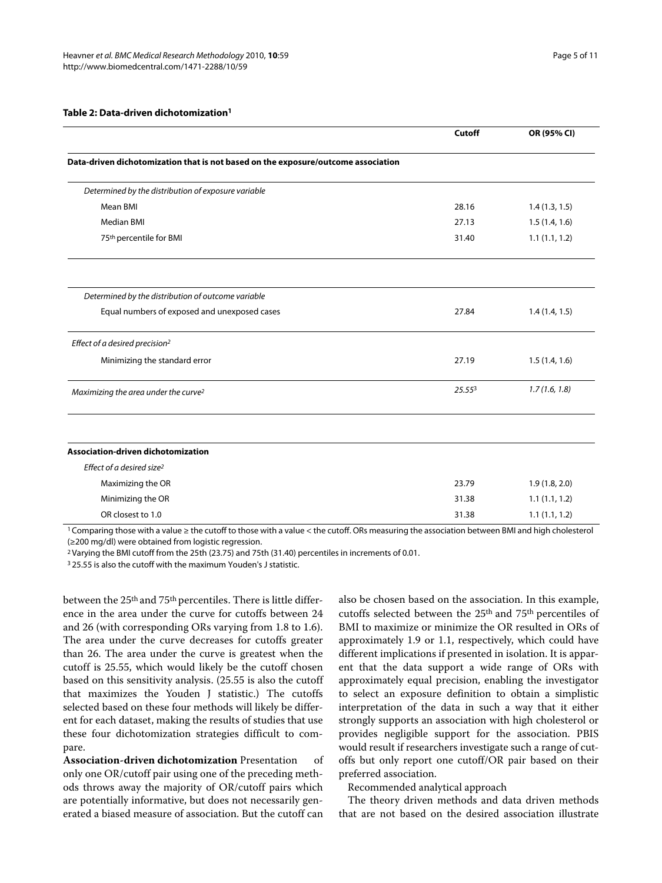#### <span id="page-4-0"></span>**Table 2: Data-driven dichotomization1**

|                                                                                   | Cutoff      | OR (95% CI)   |
|-----------------------------------------------------------------------------------|-------------|---------------|
| Data-driven dichotomization that is not based on the exposure/outcome association |             |               |
| Determined by the distribution of exposure variable                               |             |               |
| Mean BMI                                                                          | 28.16       | 1.4(1.3, 1.5) |
| <b>Median BMI</b>                                                                 | 27.13       | 1.5(1.4, 1.6) |
| 75th percentile for BMI                                                           | 31.40       | 1.1(1.1, 1.2) |
|                                                                                   |             |               |
| Determined by the distribution of outcome variable                                |             |               |
| Equal numbers of exposed and unexposed cases                                      | 27.84       | 1.4(1.4, 1.5) |
| Effect of a desired precision <sup>2</sup>                                        |             |               |
| Minimizing the standard error                                                     | 27.19       | 1.5(1.4, 1.6) |
| Maximizing the area under the curve <sup>2</sup>                                  | $25.55^{3}$ | 1.7(1.6, 1.8) |
| Association-driven dichotomization                                                |             |               |
| Effect of a desired size <sup>2</sup>                                             |             |               |
|                                                                                   |             |               |
| Maximizing the OR                                                                 | 23.79       | 1.9(1.8, 2.0) |
| Minimizing the OR                                                                 | 31.38       | 1.1(1.1, 1.2) |
| OR closest to 1.0                                                                 | 31.38       | 1.1(1.1, 1.2) |

1 Comparing those with a value ≥ the cutoff to those with a value < the cutoff. ORs measuring the association between BMI and high cholesterol (≥200 mg/dl) were obtained from logistic regression.

2 Varying the BMI cutoff from the 25th (23.75) and 75th (31.40) percentiles in increments of 0.01.

<sup>3</sup> 25.55 is also the cutoff with the maximum Youden's J statistic.

between the 25th and 75th percentiles. There is little difference in the area under the curve for cutoffs between 24 and 26 (with corresponding ORs varying from 1.8 to 1.6). The area under the curve decreases for cutoffs greater than 26. The area under the curve is greatest when the cutoff is 25.55, which would likely be the cutoff chosen based on this sensitivity analysis. (25.55 is also the cutoff that maximizes the Youden J statistic.) The cutoffs selected based on these four methods will likely be different for each dataset, making the results of studies that use these four dichotomization strategies difficult to compare.

**Association-driven dichotomization** Presentation of only one OR/cutoff pair using one of the preceding methods throws away the majority of OR/cutoff pairs which are potentially informative, but does not necessarily generated a biased measure of association. But the cutoff can

also be chosen based on the association. In this example, cutoffs selected between the 25th and 75th percentiles of BMI to maximize or minimize the OR resulted in ORs of approximately 1.9 or 1.1, respectively, which could have different implications if presented in isolation. It is apparent that the data support a wide range of ORs with approximately equal precision, enabling the investigator to select an exposure definition to obtain a simplistic interpretation of the data in such a way that it either strongly supports an association with high cholesterol or provides negligible support for the association. PBIS would result if researchers investigate such a range of cutoffs but only report one cutoff/OR pair based on their preferred association.

Recommended analytical approach

The theory driven methods and data driven methods that are not based on the desired association illustrate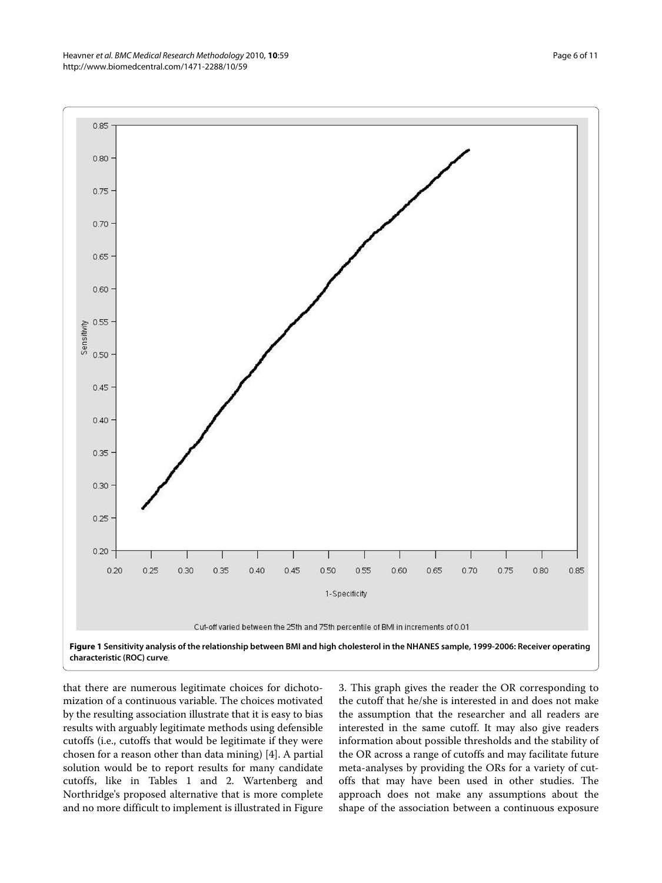Heavner et al. BMC Medical Research Methodology 2010, **10**:59 http://www.biomedcentral.com/1471-2288/10/59

<span id="page-5-0"></span>

that there are numerous legitimate choices for dichotomization of a continuous variable. The choices motivated by the resulting association illustrate that it is easy to bias results with arguably legitimate methods using defensible cutoffs (i.e., cutoffs that would be legitimate if they were chosen for a reason other than data mining) [[4\]](#page-9-3). A partial solution would be to report results for many candidate cutoffs, like in Tables [1](#page-3-0) and [2](#page-4-0). Wartenberg and Northridge's proposed alternative that is more complete and no more difficult to implement is illustrated in Figure [3.](#page-7-0) This graph gives the reader the OR corresponding to the cutoff that he/she is interested in and does not make the assumption that the researcher and all readers are interested in the same cutoff. It may also give readers information about possible thresholds and the stability of the OR across a range of cutoffs and may facilitate future meta-analyses by providing the ORs for a variety of cutoffs that may have been used in other studies. The approach does not make any assumptions about the shape of the association between a continuous exposure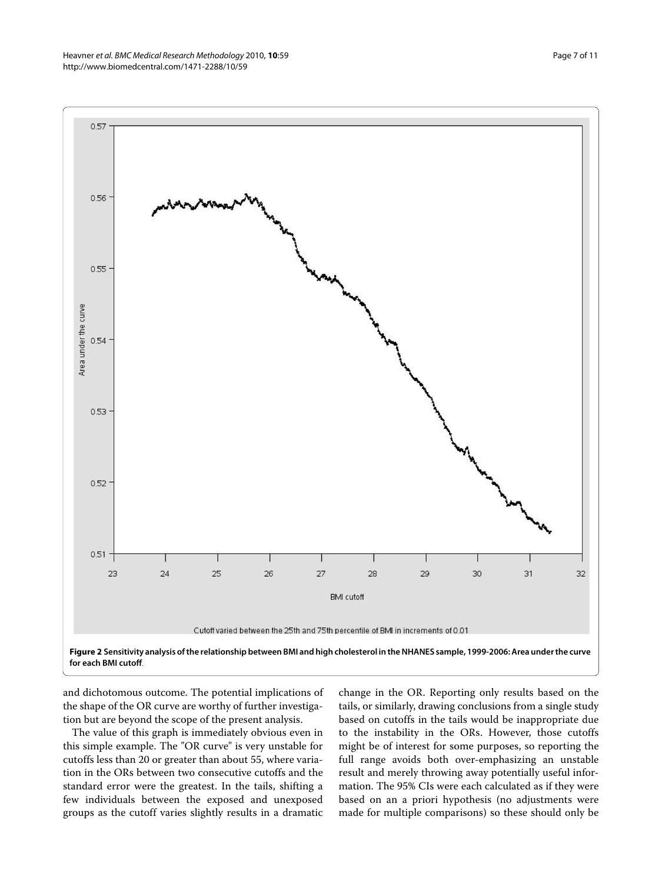<span id="page-6-0"></span>

and dichotomous outcome. The potential implications of the shape of the OR curve are worthy of further investigation but are beyond the scope of the present analysis.

The value of this graph is immediately obvious even in this simple example. The "OR curve" is very unstable for cutoffs less than 20 or greater than about 55, where variation in the ORs between two consecutive cutoffs and the standard error were the greatest. In the tails, shifting a few individuals between the exposed and unexposed groups as the cutoff varies slightly results in a dramatic change in the OR. Reporting only results based on the tails, or similarly, drawing conclusions from a single study based on cutoffs in the tails would be inappropriate due to the instability in the ORs. However, those cutoffs might be of interest for some purposes, so reporting the full range avoids both over-emphasizing an unstable result and merely throwing away potentially useful information. The 95% CIs were each calculated as if they were based on an a priori hypothesis (no adjustments were made for multiple comparisons) so these should only be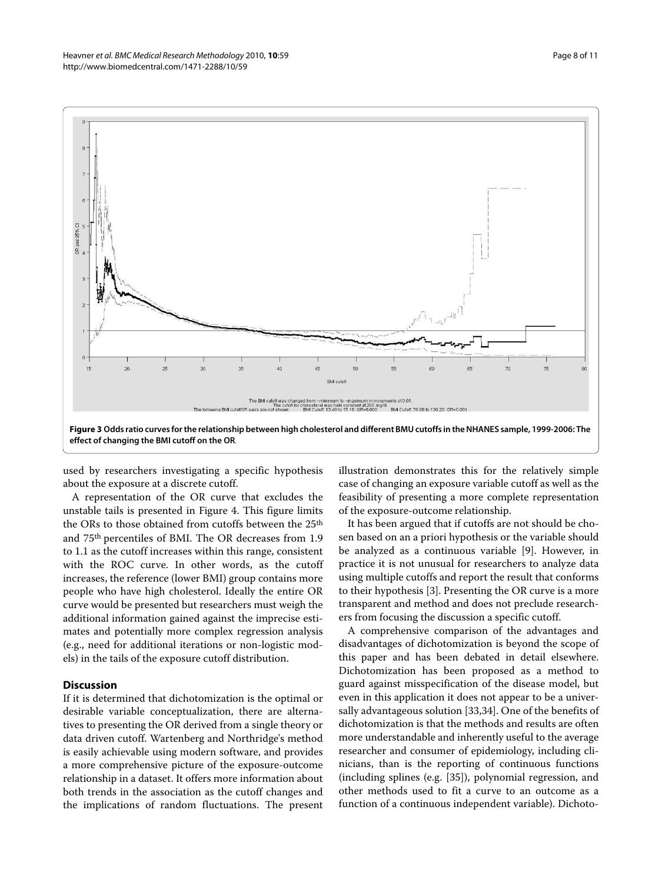<span id="page-7-0"></span>

used by researchers investigating a specific hypothesis about the exposure at a discrete cutoff.

A representation of the OR curve that excludes the unstable tails is presented in Figure [4](#page-8-0). This figure limits the ORs to those obtained from cutoffs between the 25th and 75th percentiles of BMI. The OR decreases from 1.9 to 1.1 as the cutoff increases within this range, consistent with the ROC curve. In other words, as the cutoff increases, the reference (lower BMI) group contains more people who have high cholesterol. Ideally the entire OR curve would be presented but researchers must weigh the additional information gained against the imprecise estimates and potentially more complex regression analysis (e.g., need for additional iterations or non-logistic models) in the tails of the exposure cutoff distribution.

#### **Discussion**

If it is determined that dichotomization is the optimal or desirable variable conceptualization, there are alternatives to presenting the OR derived from a single theory or data driven cutoff. Wartenberg and Northridge's method is easily achievable using modern software, and provides a more comprehensive picture of the exposure-outcome relationship in a dataset. It offers more information about both trends in the association as the cutoff changes and the implications of random fluctuations. The present illustration demonstrates this for the relatively simple case of changing an exposure variable cutoff as well as the feasibility of presenting a more complete representation of the exposure-outcome relationship.

It has been argued that if cutoffs are not should be chosen based on an a priori hypothesis or the variable should be analyzed as a continuous variable [\[9](#page-9-9)]. However, in practice it is not unusual for researchers to analyze data using multiple cutoffs and report the result that conforms to their hypothesis [\[3](#page-9-2)]. Presenting the OR curve is a more transparent and method and does not preclude researchers from focusing the discussion a specific cutoff.

A comprehensive comparison of the advantages and disadvantages of dichotomization is beyond the scope of this paper and has been debated in detail elsewhere. Dichotomization has been proposed as a method to guard against misspecification of the disease model, but even in this application it does not appear to be a universally advantageous solution [\[33](#page-10-9)[,34](#page-10-10)]. One of the benefits of dichotomization is that the methods and results are often more understandable and inherently useful to the average researcher and consumer of epidemiology, including clinicians, than is the reporting of continuous functions (including splines (e.g. [\[35](#page-10-11)]), polynomial regression, and other methods used to fit a curve to an outcome as a function of a continuous independent variable). Dichoto-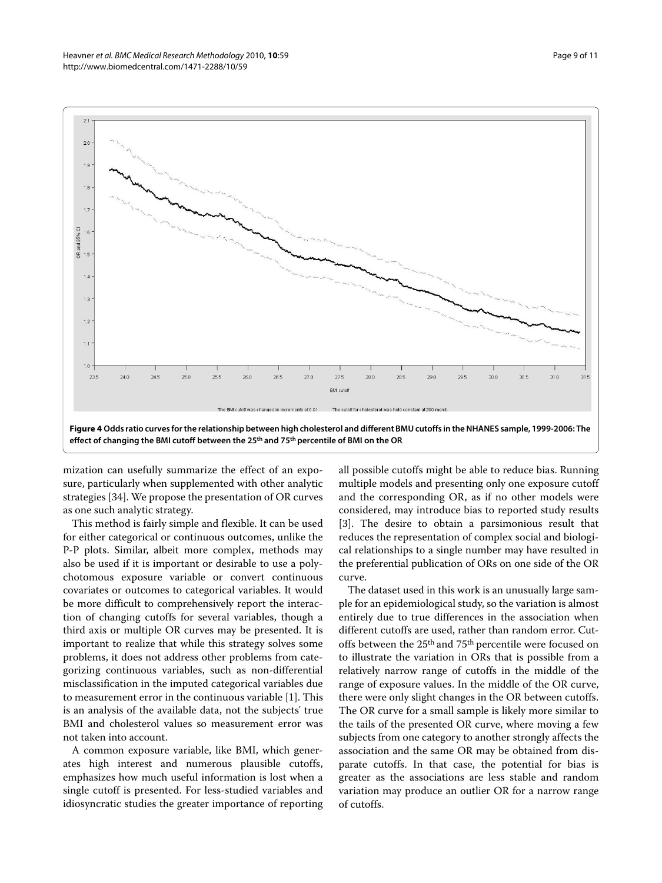<span id="page-8-0"></span>

mization can usefully summarize the effect of an exposure, particularly when supplemented with other analytic strategies [[34](#page-10-10)]. We propose the presentation of OR curves as one such analytic strategy.

This method is fairly simple and flexible. It can be used for either categorical or continuous outcomes, unlike the P-P plots. Similar, albeit more complex, methods may also be used if it is important or desirable to use a polychotomous exposure variable or convert continuous covariates or outcomes to categorical variables. It would be more difficult to comprehensively report the interaction of changing cutoffs for several variables, though a third axis or multiple OR curves may be presented. It is important to realize that while this strategy solves some problems, it does not address other problems from categorizing continuous variables, such as non-differential misclassification in the imputed categorical variables due to measurement error in the continuous variable [[1\]](#page-9-0). This is an analysis of the available data, not the subjects' true BMI and cholesterol values so measurement error was not taken into account.

A common exposure variable, like BMI, which generates high interest and numerous plausible cutoffs, emphasizes how much useful information is lost when a single cutoff is presented. For less-studied variables and idiosyncratic studies the greater importance of reporting

all possible cutoffs might be able to reduce bias. Running multiple models and presenting only one exposure cutoff and the corresponding OR, as if no other models were considered, may introduce bias to reported study results [[3\]](#page-9-2). The desire to obtain a parsimonious result that reduces the representation of complex social and biological relationships to a single number may have resulted in the preferential publication of ORs on one side of the OR curve.

The dataset used in this work is an unusually large sample for an epidemiological study, so the variation is almost entirely due to true differences in the association when different cutoffs are used, rather than random error. Cutoffs between the 25th and 75th percentile were focused on to illustrate the variation in ORs that is possible from a relatively narrow range of cutoffs in the middle of the range of exposure values. In the middle of the OR curve, there were only slight changes in the OR between cutoffs. The OR curve for a small sample is likely more similar to the tails of the presented OR curve, where moving a few subjects from one category to another strongly affects the association and the same OR may be obtained from disparate cutoffs. In that case, the potential for bias is greater as the associations are less stable and random variation may produce an outlier OR for a narrow range of cutoffs.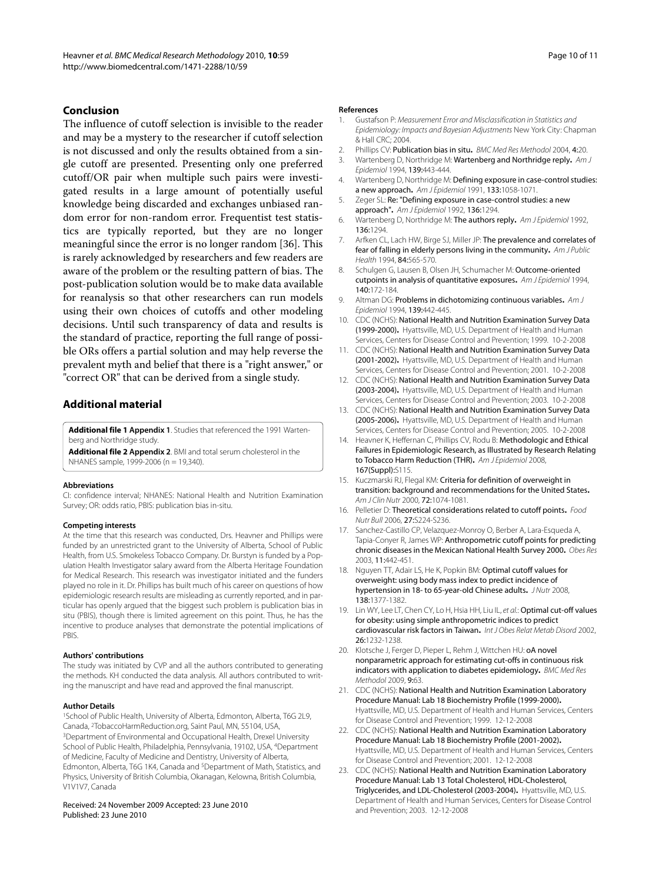## **Conclusion**

The influence of cutoff selection is invisible to the reader and may be a mystery to the researcher if cutoff selection is not discussed and only the results obtained from a single cutoff are presented. Presenting only one preferred cutoff/OR pair when multiple such pairs were investigated results in a large amount of potentially useful knowledge being discarded and exchanges unbiased random error for non-random error. Frequentist test statistics are typically reported, but they are no longer meaningful since the error is no longer random [[36\]](#page-10-12). This is rarely acknowledged by researchers and few readers are aware of the problem or the resulting pattern of bias. The post-publication solution would be to make data available for reanalysis so that other researchers can run models using their own choices of cutoffs and other modeling decisions. Until such transparency of data and results is the standard of practice, reporting the full range of possible ORs offers a partial solution and may help reverse the prevalent myth and belief that there is a "right answer," or "correct OR" that can be derived from a single study.

#### **Additional material**

<span id="page-9-8"></span>**[Additional file 1](http://www.biomedcentral.com/content/supplementary/1471-2288-10-59-S1.JPEG) Appendix 1**. Studies that referenced the 1991 Wartenberg and Northridge study.

<span id="page-9-16"></span>**[Additional file 2](http://www.biomedcentral.com/content/supplementary/1471-2288-10-59-S2.JPEG) Appendix 2**. BMI and total serum cholesterol in the NHANES sample, 1999-2006 (n = 19,340).

#### **Abbreviations**

CI: confidence interval; NHANES: National Health and Nutrition Examination Survey; OR: odds ratio, PBIS: publication bias in-situ.

#### **Competing interests**

At the time that this research was conducted, Drs. Heavner and Phillips were funded by an unrestricted grant to the University of Alberta, School of Public Health, from U.S. Smokeless Tobacco Company. Dr. Burstyn is funded by a Population Health Investigator salary award from the Alberta Heritage Foundation for Medical Research. This research was investigator initiated and the funders played no role in it. Dr. Phillips has built much of his career on questions of how epidemiologic research results are misleading as currently reported, and in particular has openly argued that the biggest such problem is publication bias in situ (PBIS), though there is limited agreement on this point. Thus, he has the incentive to produce analyses that demonstrate the potential implications of PBIS.

#### **Authors' contributions**

The study was initiated by CVP and all the authors contributed to generating the methods. KH conducted the data analysis. All authors contributed to writing the manuscript and have read and approved the final manuscript.

#### **Author Details**

1School of Public Health, University of Alberta, Edmonton, Alberta, T6G 2L9, Canada, 2TobaccoHarmReduction.org, Saint Paul, MN, 55104, USA, 3Department of Environmental and Occupational Health, Drexel University School of Public Health, Philadelphia, Pennsylvania, 19102, USA, 4Department of Medicine, Faculty of Medicine and Dentistry, University of Alberta, Edmonton, Alberta, T6G 1K4, Canada and 5Department of Math, Statistics, and Physics, University of British Columbia, Okanagan, Kelowna, British Columbia, V1V1V7, Canada

#### Received: 24 November 2009 Accepted: 23 June 2010 Published: 23 June 2010

#### **References**

- <span id="page-9-0"></span>Gustafson P: Measurement Error and Misclassification in Statistics and Epidemiology: Impacts and Bayesian Adjustments New York City: Chapman & Hall CRC; 2004.
- <span id="page-9-1"></span>2. Phillips CV: Publication bias in situ**.** BMC Med Res Methodol 2004, 4:20.
- <span id="page-9-2"></span>3. Wartenberg D, Northridge M: Wartenberg and Northridge reply**.** Am J Epidemiol 1994, 139:443-444.
- <span id="page-9-3"></span>4. Wartenberg D, Northridge M: Defining exposure in case-control studies: a new approach**.** Am J Epidemiol 1991, 133:1058-1071.
- <span id="page-9-4"></span>5. Zeger SL: Re: "Defining exposure in case-control studies: a new approach"**.** Am J Epidemiol 1992, 136:1294.
- <span id="page-9-5"></span>6. Wartenberg D, Northridge M: The authors reply**.** Am J Epidemiol 1992, 136:1294.
- <span id="page-9-6"></span>7. Arfken CL, Lach HW, Birge SJ, Miller JP: The prevalence and correlates of fear of falling in elderly persons living in the community**.** Am J Public Health 1994, 84:565-570.
- <span id="page-9-7"></span>Schulgen G, Lausen B, Olsen JH, Schumacher M: Outcome-oriented cutpoints in analysis of quantitative exposures**.** Am J Epidemiol 1994, 140:172-184.
- <span id="page-9-9"></span>9. Altman DG: Problems in dichotomizing continuous variables**.** Am J Epidemiol 1994, 139:442-445.
- <span id="page-9-10"></span>10. CDC (NCHS): National Health and Nutrition Examination Survey Data (1999-2000)**.** Hyattsville, MD, U.S. Department of Health and Human Services, Centers for Disease Control and Prevention; 1999. 10-2-2008
- 11. CDC (NCHS): National Health and Nutrition Examination Survey Data (2001-2002)**.** Hyattsville, MD, U.S. Department of Health and Human Services, Centers for Disease Control and Prevention; 2001. 10-2-2008
- 12. CDC (NCHS): National Health and Nutrition Examination Survey Data (2003-2004)**.** Hyattsville, MD, U.S. Department of Health and Human Services, Centers for Disease Control and Prevention; 2003. 10-2-2008
- <span id="page-9-11"></span>13. CDC (NCHS): National Health and Nutrition Examination Survey Data (2005-2006)**.** Hyattsville, MD, U.S. Department of Health and Human Services, Centers for Disease Control and Prevention; 2005. 10-2-2008
- <span id="page-9-12"></span>14. Heavner K, Heffernan C, Phillips CV, Rodu B: Methodologic and Ethical Failures in Epidemiologic Research, as Illustrated by Research Relating to Tobacco Harm Reduction (THR)**.** Am J Epidemiol 2008, 167(Suppl):S115.
- <span id="page-9-13"></span>15. Kuczmarski RJ, Flegal KM: Criteria for definition of overweight in transition: background and recommendations for the United States**[.](http://www.ncbi.nlm.nih.gov/entrez/query.fcgi?cmd=Retrieve&db=PubMed&dopt=Abstract&list_uids=11063431)** Am J Clin Nutr 2000, **72:**1074-1081.
- 16. Pelletier D: Theoretical considerations related to cutoff points**.** Food Nutr Bull 2006, 27:S224-S236.
- 17. Sanchez-Castillo CP, Velazquez-Monroy O, Berber A, Lara-Esqueda A, Tapia-Conyer R, James WP: Anthropometric cutoff points for predicting chronic diseases in the Mexican National Health Survey 2000**.** Obes Res 2003, 11:442-451.
- 18. Nguyen TT, Adair LS, He K, Popkin BM: Optimal cutoff values for overweight: using body mass index to predict incidence of hypertension in 18- to 65-year-old Chinese adults**.** J Nutr 2008, 138:1377-1382.
- 19. Lin WY, Lee LT, Chen CY, Lo H, Hsia HH, Liu IL, et al.: Optimal cut-off values for obesity: using simple anthropometric indices to predict cardiovascular risk factors in Taiwan**.** Int J Obes Relat Metab Disord 2002, 26:1232-1238.
- <span id="page-9-14"></span>20. Klotsche J, Ferger D, Pieper L, Rehm J, Wittchen HU: oA novel nonparametric approach for estimating cut-offs in continuous risk indicators with application to diabetes epidemiology**.** BMC Med Res Methodol 2009, 9:63.
- <span id="page-9-15"></span>21. CDC (NCHS): National Health and Nutrition Examination Laboratory Procedure Manual: Lab 18 Biochemistry Profile (1999-2000)**.** Hyattsville, MD, U.S. Department of Health and Human Services, Centers for Disease Control and Prevention; 1999. 12-12-2008
- 22. CDC (NCHS): National Health and Nutrition Examination Laboratory Procedure Manual: Lab 18 Biochemistry Profile (2001-2002)**.** Hyattsville, MD, U.S. Department of Health and Human Services, Centers for Disease Control and Prevention; 2001. 12-12-2008
- 23. CDC (NCHS): National Health and Nutrition Examination Laboratory Procedure Manual: Lab 13 Total Cholesterol, HDL-Cholesterol, Triglycerides, and LDL-Cholesterol (2003-2004)**.** Hyattsville, MD, U.S. Department of Health and Human Services, Centers for Disease Control and Prevention; 2003. 12-12-2008